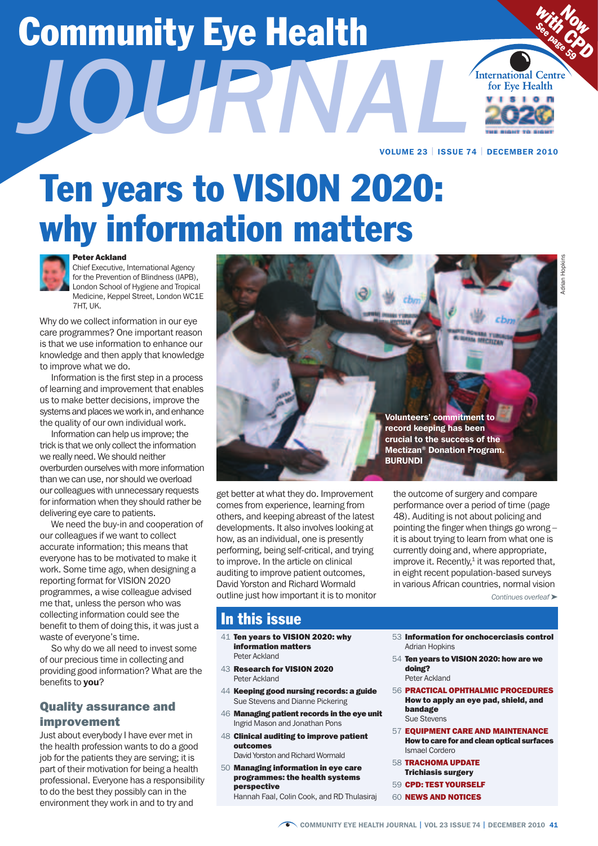# Community Eye Health *Journal*

with Ow See page 59 International Centre for Eye Health **SIO** n

VOLUME 23 | ISSUE 74 | DECEMBER 2010

# Ten years to VISION 2020: why information matters

#### Peter Ackland

 $\mathbf{X}$  $X \times X$ 

Chief Executive, International Agency for the Prevention of Blindness (IAPB), London School of Hygiene and Tropical Medicine, Keppel Street, London WC1E 7HT, UK.

Why do we collect information in our eye care programmes? One important reason is that we use information to enhance our knowledge and then apply that knowledge to improve what we do.

Information is the first step in a process of learning and improvement that enables us to make better decisions, improve the systems and places we work in, and enhance the quality of our own individual work.

Information can help us improve; the trick is that we only collect the information we really need. We should neither overburden ourselves with more information than we can use, nor should we overload our colleagues with unnecessary requests for information when they should rather be delivering eye care to patients.

We need the buy-in and cooperation of our colleagues if we want to collect accurate information; this means that everyone has to be motivated to make it work. Some time ago, when designing a reporting format for VISION 2020 programmes, a wise colleague advised me that, unless the person who was collecting information could see the benefit to them of doing this, it was just a waste of everyone's time.

So why do we all need to invest some of our precious time in collecting and providing good information? What are the benefits to **you**?

### Quality assurance and improvement

Just about everybody I have ever met in the health profession wants to do a good job for the patients they are serving; it is part of their motivation for being a health professional. Everyone has a responsibility to do the best they possibly can in the environment they work in and to try and



get better at what they do. Improvement comes from experience, learning from others, and keeping abreast of the latest developments. It also involves looking at how, as an individual, one is presently performing, being self-critical, and trying to improve. In the article on clinical auditing to improve patient outcomes, David Yorston and Richard Wormald outline just how important it is to monitor

## In this issue

- 41 Ten years to VISION 2020: why information matters Peter Ackland
- 43 Research for VISION 2020 Peter Ackland
- 44 Keeping good nursing records: a guide Sue Stevens and Dianne Pickering
- 46 Managing patient records in the eye unit Ingrid Mason and Jonathan Pons
- 48 Clinical auditing to improve patient outcomes David Yorston and Richard Wormald
- 50 Managing information in eye care programmes: the health systems perspective

Hannah Faal, Colin Cook, and RD Thulasiraj

the outcome of surgery and compare performance over a period of time (page 48). Auditing is not about policing and pointing the finger when things go wrong – it is about trying to learn from what one is currently doing and, where appropriate, improve it. Recently, $1$  it was reported that, in eight recent population-based surveys in various African countries, normal vision

*Continues overleaf* ➤

- 53 Information for onchocerciasis control Adrian Hopkins
- 54 Ten years to VISION 2020: how are we doing?
	- Peter Ackland
- 56 PRACTICAL OPHTHALMIC PROCEDURES How to apply an eye pad, shield, and bandage Sue Stevens
- 57 Equipment CARE AND MAINTENANCE How to care for and clean optical surfaces Ismael Cordero
- **58 TRACHOMA UPDATE** Trichiasis surgery
- 59 CPD: TEST YOURSELF
- 60 NEWS AND NOTICES